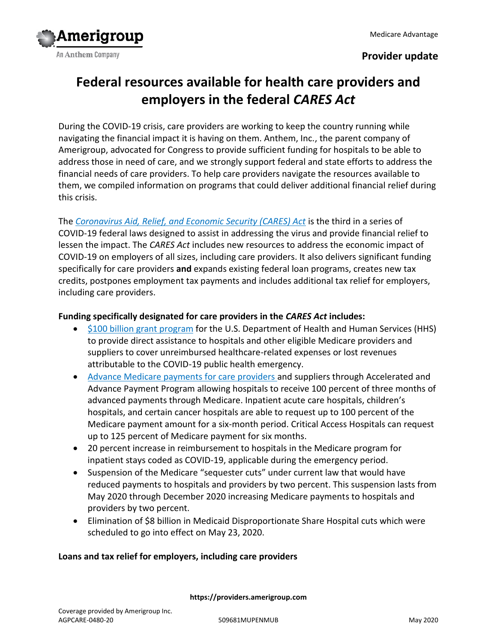

## **Provider update**

# **Federal resources available for health care providers and employers in the federal** *CARES Act*

During the COVID-19 crisis, care providers are working to keep the country running while navigating the financial impact it is having on them. Anthem, Inc., the parent company of Amerigroup, advocated for Congress to provide sufficient funding for hospitals to be able to address those in need of care, and we strongly support federal and state efforts to address the financial needs of care providers. To help care providers navigate the resources available to them, we compiled information on programs that could deliver additional financial relief during this crisis.

The *[Coronavirus Aid, Relief, and Economic Security \(CARES\) Act](https://www.congress.gov/116/bills/hr748/BILLS-116hr748enr.pdf)* is the third in a series of COVID-19 federal laws designed to assist in addressing the virus and provide financial relief to lessen the impact. The *CARES Act* includes new resources to address the economic impact of COVID-19 on employers of all sizes, including care providers. It also delivers significant funding specifically for care providers **and** expands existing federal loan programs, creates new tax credits, postpones employment tax payments and includes additional tax relief for employers, including care providers.

## **Funding specifically designated for care providers in the** *CARES Act* **includes:**

- [\\$100 billion grant program](https://www.hhs.gov/provider-relief/index.html) for the U.S. Department of Health and Human Services (HHS) to provide direct assistance to hospitals and other eligible Medicare providers and suppliers to cover unreimbursed healthcare-related expenses or lost revenues attributable to the COVID-19 public health emergency.
- [Advance Medicare payments for care providers](https://www.cms.gov/newsroom/press-releases/cms-approves-approximately-34-billion-providers-acceleratedadvance-payment-program-medicare) and suppliers through Accelerated and Advance Payment Program allowing hospitals to receive 100 percent of three months of advanced payments through Medicare. Inpatient acute care hospitals, children's hospitals, and certain cancer hospitals are able to request up to 100 percent of the Medicare payment amount for a six-month period. Critical Access Hospitals can request up to 125 percent of Medicare payment for six months.
- 20 percent increase in reimbursement to hospitals in the Medicare program for inpatient stays coded as COVID-19, applicable during the emergency period.
- Suspension of the Medicare "sequester cuts" under current law that would have reduced payments to hospitals and providers by two percent. This suspension lasts from May 2020 through December 2020 increasing Medicare payments to hospitals and providers by two percent.
- Elimination of \$8 billion in Medicaid Disproportionate Share Hospital cuts which were scheduled to go into effect on May 23, 2020.

## **Loans and tax relief for employers, including care providers**

**https://providers.amerigroup.com**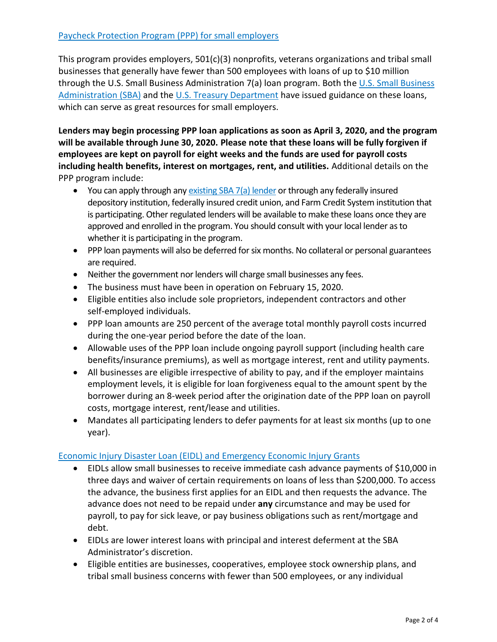This program provides employers, 501(c)(3) nonprofits, veterans organizations and tribal small businesses that generally have fewer than 500 employees with loans of up to \$10 million through the U.S. Small Business Administration 7(a) loan program. Both the [U.S. Small Business](https://content.sba.gov/sites/default/files/2020-04/PPP--IFRN%20FINAL.pdf)  [Administration](https://content.sba.gov/sites/default/files/2020-04/PPP--IFRN%20FINAL.pdf) (SBA) and the [U.S. Treasury Department](https://home.treasury.gov/policy-issues/top-priorities/cares-act/assistance-for-small-businesses) have issued guidance on these loans, which can serve as great resources for small employers.

**Lenders may begin processing PPP loan applications as soon as April 3, 2020, and the program will be available through June 30, 2020. Please note that these loans will be fully forgiven if employees are kept on payroll for eight weeks and the funds are used for payroll costs including health benefits, interest on mortgages, rent, and utilities.** Additional details on the PPP program include:

- You can apply through an[y existing SBA 7\(a\) lender](https://www.sba.gov/paycheckprotection/find) or through any federally insured depository institution, federally insured credit union, and Farm Credit System institution that is participating. Other regulated lenders will be available to make these loans once they are approved and enrolled in the program. You should consult with your local lender as to whether it is participating in the program.
- PPP loan payments will also be deferred for six months. No collateral or personal guarantees are required.
- Neither the government nor lenders will charge small businesses any fees.
- The business must have been in operation on February 15, 2020.
- Eligible entities also include sole proprietors, independent contractors and other self-employed individuals.
- PPP loan amounts are 250 percent of the average total monthly payroll costs incurred during the one-year period before the date of the loan.
- Allowable uses of the PPP loan include ongoing payroll support (including health care benefits/insurance premiums), as well as mortgage interest, rent and utility payments.
- All businesses are eligible irrespective of ability to pay, and if the employer maintains employment levels, it is eligible for loan forgiveness equal to the amount spent by the borrower during an 8-week period after the origination date of the PPP loan on payroll costs, mortgage interest, rent/lease and utilities.
- Mandates all participating lenders to defer payments for at least six months (up to one year).

## [Economic Injury Disaster Loan \(EIDL\) and Emergency Economic Injury Grants](https://www.sba.gov/funding-programs/loans/coronavirus-relief-options/economic-injury-disaster-loan-emergency-advance)

- EIDLs allow small businesses to receive immediate cash advance payments of \$10,000 in three days and waiver of certain requirements on loans of less than \$200,000. To access the advance, the business first applies for an EIDL and then requests the advance. The advance does not need to be repaid under **any** circumstance and may be used for payroll, to pay for sick leave, or pay business obligations such as rent/mortgage and debt.
- EIDLs are lower interest loans with principal and interest deferment at the SBA Administrator's discretion.
- Eligible entities are businesses, cooperatives, employee stock ownership plans, and tribal small business concerns with fewer than 500 employees, or any individual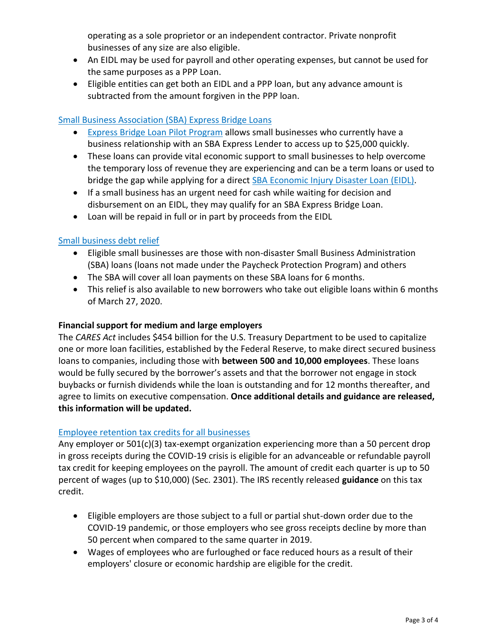operating as a sole proprietor or an independent contractor. Private nonprofit businesses of any size are also eligible.

- An EIDL may be used for payroll and other operating expenses, but cannot be used for the same purposes as a PPP Loan.
- Eligible entities can get both an EIDL and a PPP loan, but any advance amount is subtracted from the amount forgiven in the PPP loan.

### [Small Business Association \(SBA\) Express Bridge Loans](https://www.sba.gov/funding-programs/loans/coronavirus-relief-options/sba-express-bridge-loans)

- [Express Bridge Loan Pilot Program](https://www.sba.gov/document/support--express-bridge-loan-pilot-program-guide) allows small businesses who currently have a business relationship with an SBA Express Lender to access up to \$25,000 quickly.
- These loans can provide vital economic support to small businesses to help overcome the temporary loss of revenue they are experiencing and can be a term loans or used to bridge the gap while applying for a direct [SBA Economic Injury Disaster Loan](http://www.sba.gov/disaster) (EIDL).
- If a small business has an urgent need for cash while waiting for decision and disbursement on an EIDL, they may qualify for an SBA Express Bridge Loan.
- Loan will be repaid in full or in part by proceeds from the EIDL

#### [Small business debt relief](https://www.sba.gov/funding-programs/loans/coronavirus-relief-options/sba-debt-relief)

- Eligible small businesses are those with non-disaster Small Business Administration (SBA) loans (loans not made under the Paycheck Protection Program) and others
- The SBA will cover all loan payments on these SBA loans for 6 months.
- This relief is also available to new borrowers who take out eligible loans within 6 months of March 27, 2020.

#### **Financial support for medium and large employers**

The *CARES Act* includes \$454 billion for the U.S. Treasury Department to be used to capitalize one or more loan facilities, established by the Federal Reserve, to make direct secured business loans to companies, including those with **between 500 and 10,000 employees**. These loans would be fully secured by the borrower's assets and that the borrower not engage in stock buybacks or furnish dividends while the loan is outstanding and for 12 months thereafter, and agree to limits on executive compensation. **Once additional details and guidance are released, this information will be updated.** 

#### [Employee retention tax credits for all businesses](https://www.irs.gov/newsroom/irs-employee-retention-credit-available-for-many-businesses-financially-impacted-by-covid-19)

Any employer or  $501(c)(3)$  tax-exempt organization experiencing more than a 50 percent drop in gross receipts during the COVID-19 crisis is eligible for an advanceable or refundable payroll tax credit for keeping employees on the payroll. The amount of credit each quarter is up to 50 percent of wages (up to \$10,000) (Sec. 2301). The IRS recently released **[guidance](https://www.irs.gov/newsroom/irs-employee-retention-credit-available-for-many-businesses-financially-impacted-by-covid-19)** on this tax credit.

- Eligible employers are those subject to a full or partial shut-down order due to the COVID-19 pandemic, or those employers who see gross receipts decline by more than 50 percent when compared to the same quarter in 2019.
- Wages of employees who are furloughed or face reduced hours as a result of their employers' closure or economic hardship are eligible for the credit.